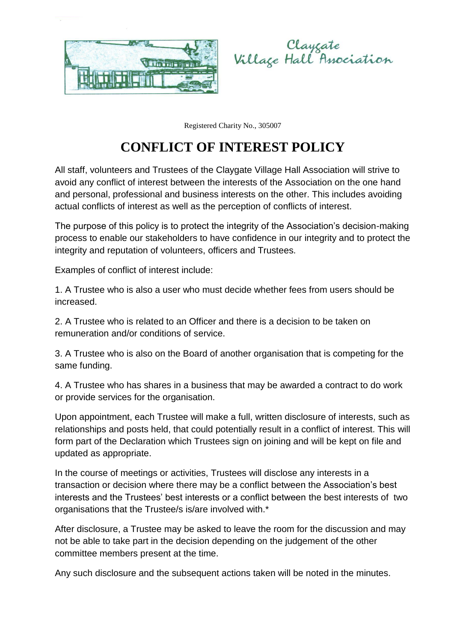



Registered Charity No., 305007

## **CONFLICT OF INTEREST POLICY**

All staff, volunteers and Trustees of the Claygate Village Hall Association will strive to avoid any conflict of interest between the interests of the Association on the one hand and personal, professional and business interests on the other. This includes avoiding actual conflicts of interest as well as the perception of conflicts of interest.

The purpose of this policy is to protect the integrity of the Association's decision-making process to enable our stakeholders to have confidence in our integrity and to protect the integrity and reputation of volunteers, officers and Trustees.

Examples of conflict of interest include:

1. A Trustee who is also a user who must decide whether fees from users should be increased.

2. A Trustee who is related to an Officer and there is a decision to be taken on remuneration and/or conditions of service.

3. A Trustee who is also on the Board of another organisation that is competing for the same funding.

4. A Trustee who has shares in a business that may be awarded a contract to do work or provide services for the organisation.

Upon appointment, each Trustee will make a full, written disclosure of interests, such as relationships and posts held, that could potentially result in a conflict of interest. This will form part of the Declaration which Trustees sign on joining and will be kept on file and updated as appropriate.

In the course of meetings or activities, Trustees will disclose any interests in a transaction or decision where there may be a conflict between the Association's best interests and the Trustees' best interests or a conflict between the best interests of two organisations that the Trustee/s is/are involved with.\*

After disclosure, a Trustee may be asked to leave the room for the discussion and may not be able to take part in the decision depending on the judgement of the other committee members present at the time.

Any such disclosure and the subsequent actions taken will be noted in the minutes.